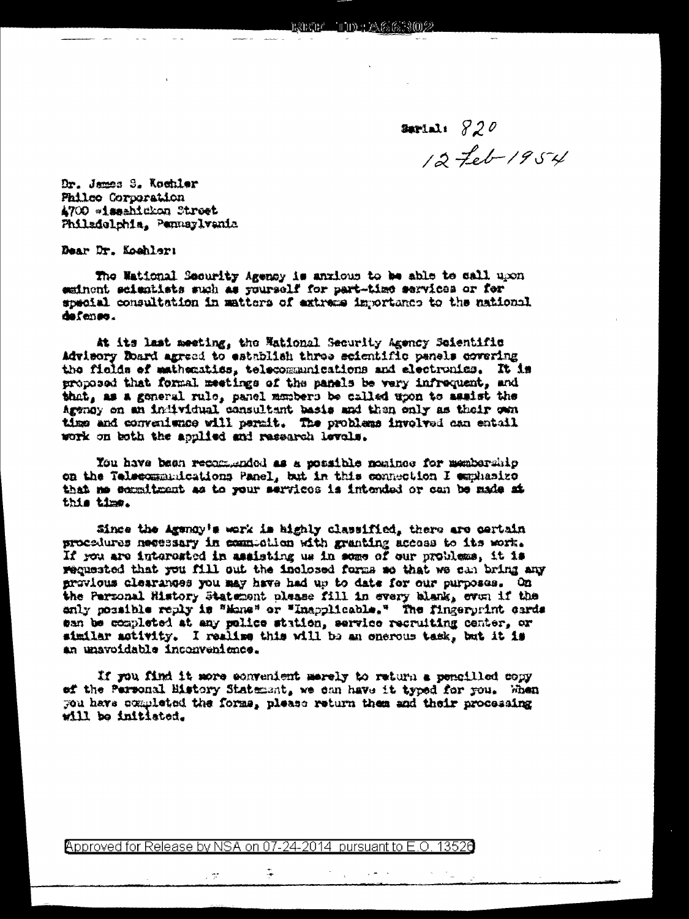Serial:  $820$  $12 - 26 - 1954$ 

Dr. James S. Kochler Philco Corporation 4700 \*issahidkon Street Philadelphia, Pennsylvania

Dear Dr. Kochlers

The Wational Security Agency is anxious to be able to call upon esinont scientists such as yourself for part-time services or for special consultation in matters of extreme importance to the national defense.

At its last meeting, the National Security Agency Seientific Advisory Roard agreed to establish three scientific panels covering the fields of mathematics, telecommunications and electronics. It is proposed that formal meetings of the panels be very infrequent, and that, as a general rule, panel members be called upon to assist the Agency on an individual consultant basis and then only as their own time and convenience will permit. The problems involved can entail work on both the applied and research levels.

You have been recommended as a possible nominee for membership on the Telecommunications Panel, but in this connection I emphasize that me sommitment as to your services is intended or can be made at this time.

Since the Agency's work is highly classified, there are cartain procedures necessary in commedian with granting access to its work. If you are interested in assisting us in some of our problems, it is requested that you fill out the inclosed forms so that we can bring any provious clearances you may have had up to date for our purposes. On the Parsonal History Statement please fill in every blank, even if the anly nossible reply is "Mane" or "Inapplicable." The fingerprint cards san be completed at any police station, service recruiting center, or similar activity. I realize this will be an onerous task, but it is an unavoidable inconvenience.

If you find it more convenient merely to return a pencilled copy ef the Personal History Statement, we can have it typed for you. When you have completed the forms, please return them and their processing will be initiated.

Approved for Release by NSA on 07-24-2014 pursuant to E.O. 13526

÷.